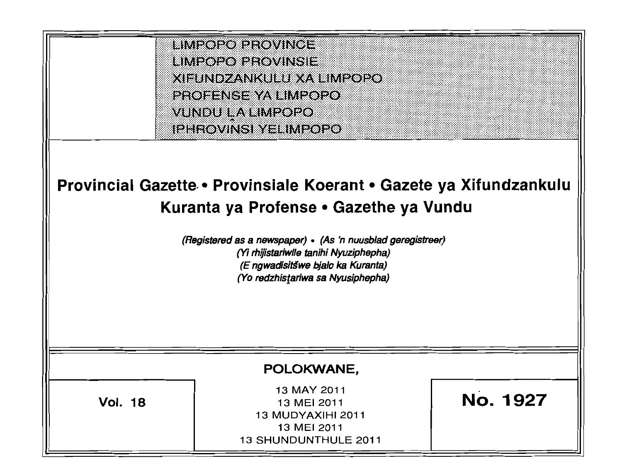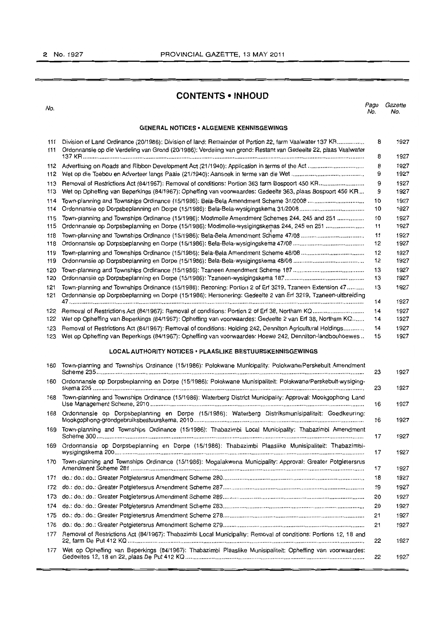# **CONTENTS ·INHOUD**

No. Page Gazette No. No.

### **GENERAL NOTICES • ALGEMENE KENNISGEWINGS**

| 111<br>111 | Division of Land Ordinance (20/1986): Division of land: Remainder of Portion 22, farm Vaalwater 137 KR<br>Ordonnansie op die Verdeling van Grond (20/1986): Verdeling van grond: Restant van Gedeelte 22, plaas Vaalwater | 8        | 1927         |
|------------|---------------------------------------------------------------------------------------------------------------------------------------------------------------------------------------------------------------------------|----------|--------------|
|            |                                                                                                                                                                                                                           | 8        | 1927         |
| 112        |                                                                                                                                                                                                                           | 8<br>9   | 1927<br>1927 |
| 113        |                                                                                                                                                                                                                           | 9        |              |
| 113        | Wet op Opheffing van Beperkings (84/1967): Opheffing van voorwaardes: Gedeelte 363, plaas Bospoort 450 KR                                                                                                                 | 9        | 1927<br>1927 |
| 114        |                                                                                                                                                                                                                           | 10       | 1927         |
| 114        |                                                                                                                                                                                                                           | 10       | 1927         |
| 115        | Town-planning and Townships Ordinance (15/1986): Modimolle Amendment Schemes 244, 245 and 251                                                                                                                             | 10       | 1927         |
| 115        | Ordonnansie op Dorpsbeplanning en Dorpe (15/1986): Modimolle-wysigingskemas 244, 245 en 251                                                                                                                               | 11       | 1927         |
| 118        |                                                                                                                                                                                                                           | 11       | 1927         |
| 118        |                                                                                                                                                                                                                           | 12       | 1927         |
| 119        |                                                                                                                                                                                                                           | 12       | 1927         |
| 119        |                                                                                                                                                                                                                           | 12       | 1927         |
| 120        |                                                                                                                                                                                                                           | 13       | 1927         |
| 120        |                                                                                                                                                                                                                           | 13       | 1927         |
| 121<br>121 | Town-planning and Townships Ordinance (15/1986): Rezoning: Portion 2 of Erf 3219, Tzaneen Extension 47<br>Ordonnansie op Dorpsbeplanning en Dorpe (15/1986): Hersonering: Gedeelte 2 van Erf 3219, Tzaneen-uitbreiding    | 13       | 1927         |
|            |                                                                                                                                                                                                                           | 14       | 1927         |
| 122<br>122 | Wet op Opheffing van Beperkings (84/1967): Opheffing van voorwaardes: Gedeelte 2 van Erf 38, Northam KQ                                                                                                                   | 14<br>14 | 1927<br>1927 |
| 123        | Removal of Restrictions Act (84/1967): Removal of conditions: Holding 242, Dennilton Agricultural Holdings                                                                                                                | 14       | 1927         |
| 123        | Wet op Opheffing van Beperkings (84/1967): Opheffing van voorwaardes: Hoewe 242, Dennilton-landbouhoewes                                                                                                                  | 15       | 1927         |
| 160        | Town-planning and Townships Ordinance (15/1986): Polokwane Municipality: Polokwane/Perskebult Amendment                                                                                                                   |          |              |
| 160        | Ordonnansie op Dorpsbeplanning en Dorpe (15/1986): Polokwane Munisipaliteit: Polokwane/Perskebult-wysiging-                                                                                                               | 23<br>23 | 1927<br>1927 |
| 168        | Town-planning and Townships Ordinance (15/1986): Waterberg District Municipality: Approval: Mookgophong Land                                                                                                              | 16       | 1927         |
| 168        | Ordonnansie op Dorpsbeplanning en Dorpe (15/1986): Waterberg Distriksmunisipaliteit: Goedkeuring:                                                                                                                         | 16       | 1927         |
| 169        | Town-planning and Townships Ordinance (15/1986): Thabazimbi Local Municipality: Thabazimbi Amendment                                                                                                                      | 17       | 1927         |
| 169        | Ordonnansie op Dorpsbeplanning en Dorpe (15/1986): Thabazimbi Plaaslike Munisipaliteit: Thabazimbi-                                                                                                                       | 17       | 1927         |
|            | 170 Town-planning and Townships Ordinance (15/1986): Mogalakwena Municipality: Approval: Greater Potgietersrus                                                                                                            | 17       | 1927         |
| 171        |                                                                                                                                                                                                                           | 18       | 1927         |
| 172        |                                                                                                                                                                                                                           | 19       | 1927         |
| 173        |                                                                                                                                                                                                                           | 20       | 1927         |
| 174        |                                                                                                                                                                                                                           | 20       | 1927         |
| 175        |                                                                                                                                                                                                                           | 21       | 1927         |
| 176        |                                                                                                                                                                                                                           | 21       | 1927         |
| 177        | Removal of Restrictions Act (84/1967): Thabazimbi Local Municipality: Removal of conditions: Portions 12, 18 and                                                                                                          | 22       | 1927         |
| 177        | Wet op Opheffing van Beperkings (84/1967): Thabazimbi Plaaslike Munisipaliteit: Opheffing van voorwaardes:                                                                                                                | 22       | 1927         |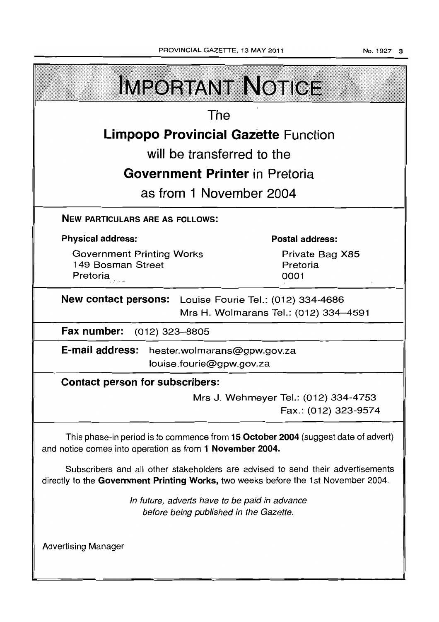No.1927 3

| <b>IMPORTANT NOTICE</b>                                                                                                                                               |  |                                                              |  |  |  |
|-----------------------------------------------------------------------------------------------------------------------------------------------------------------------|--|--------------------------------------------------------------|--|--|--|
| The                                                                                                                                                                   |  |                                                              |  |  |  |
| <b>Limpopo Provincial Gazette Function</b>                                                                                                                            |  |                                                              |  |  |  |
| will be transferred to the                                                                                                                                            |  |                                                              |  |  |  |
| <b>Government Printer</b> in Pretoria                                                                                                                                 |  |                                                              |  |  |  |
| as from 1 November 2004                                                                                                                                               |  |                                                              |  |  |  |
| <b>NEW PARTICULARS ARE AS FOLLOWS:</b>                                                                                                                                |  |                                                              |  |  |  |
| <b>Physical address:</b>                                                                                                                                              |  | <b>Postal address:</b>                                       |  |  |  |
| <b>Government Printing Works</b><br>149 Bosman Street<br>Pretoria                                                                                                     |  | Private Bag X85<br>Pretoria<br>0001                          |  |  |  |
| New contact persons: Louise Fourie Tel.: (012) 334-4686<br>Mrs H. Wolmarans Tel.: (012) 334-4591                                                                      |  |                                                              |  |  |  |
| Fax number:<br>(012) 323–8805                                                                                                                                         |  |                                                              |  |  |  |
| E-mail address: hester.wolmarans@gpw.gov.za<br>louise.fourie@gpw.gov.za                                                                                               |  |                                                              |  |  |  |
| <b>Contact person for subscribers:</b>                                                                                                                                |  |                                                              |  |  |  |
|                                                                                                                                                                       |  | Mrs J. Wehmeyer Tel.: (012) 334-4753<br>Fax.: (012) 323-9574 |  |  |  |
| This phase-in period is to commence from 15 October 2004 (suggest date of advert)<br>and notice comes into operation as from 1 November 2004.                         |  |                                                              |  |  |  |
| Subscribers and all other stakeholders are advised to send their advertisements<br>directly to the Government Printing Works, two weeks before the 1st November 2004. |  |                                                              |  |  |  |
| In future, adverts have to be paid in advance<br>before being published in the Gazette.                                                                               |  |                                                              |  |  |  |
| <b>Advertising Manager</b>                                                                                                                                            |  |                                                              |  |  |  |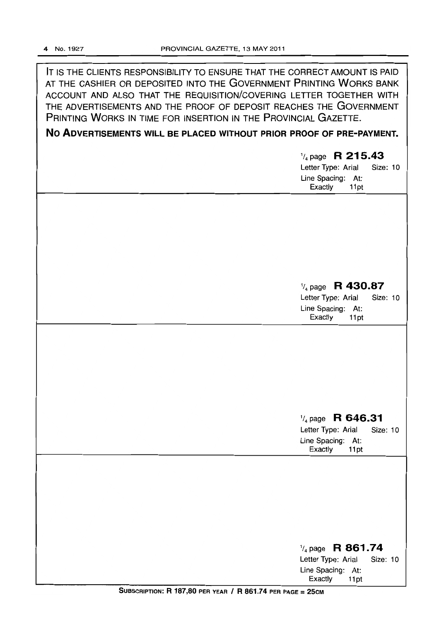IT IS THE CLIENTS RESPONSIBILITY TO ENSURE THAT THE CORRECT AMOUNT IS PAID AT THE CASHIER OR DEPOSITED INTO THE GOVERNMENT PRINTING WORKS BANK ACCOUNT AND ALSO THAT THE REQUISITION/COVERING LETTER TOGETHER WITH THE ADVERTISEMENTS AND THE PROOF OF DEPOSIT REACHES THE GOVERNMENT PRINTING WORKS IN TIME FOR INSERTION IN THE PROVINCIAL GAZETTE.

## **No ADVERTISEMENTS WILL BE PLACED WITHOUT PRIOR PROOF OF PRE-PAYMENT.**

| $\frac{1}{4}$ page R 215.43<br><b>Size: 10</b><br>Letter Type: Arial<br>Line Spacing: At:<br>Exactly<br>11pt |
|--------------------------------------------------------------------------------------------------------------|
|                                                                                                              |
| $\frac{1}{4}$ page R 430.87<br>Letter Type: Arial<br>Size: 10                                                |
| Line Spacing: At:<br>Exactly<br>11pt                                                                         |
|                                                                                                              |
| $\frac{1}{4}$ page R 646.31<br>Letter Type: Arial<br>Size: 10<br>Line Spacing: At:<br>Exactly<br>11pt        |
|                                                                                                              |
| $\frac{1}{4}$ page R 861.74                                                                                  |
| Letter Type: Arial<br>Size: 10<br>Line Spacing: At:<br>Exactly<br>11pt                                       |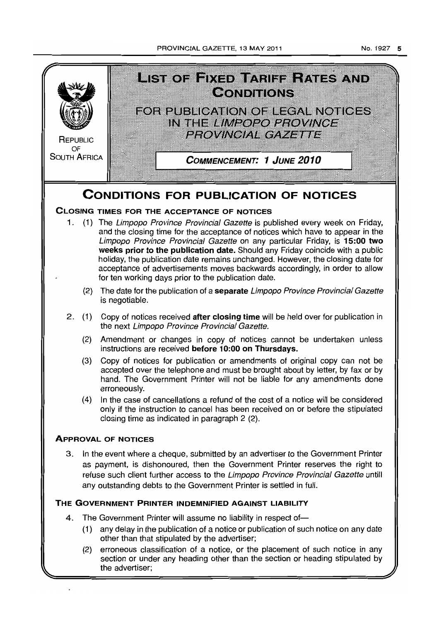PROVINCIAL GAZETTE. 13 MAY 2011

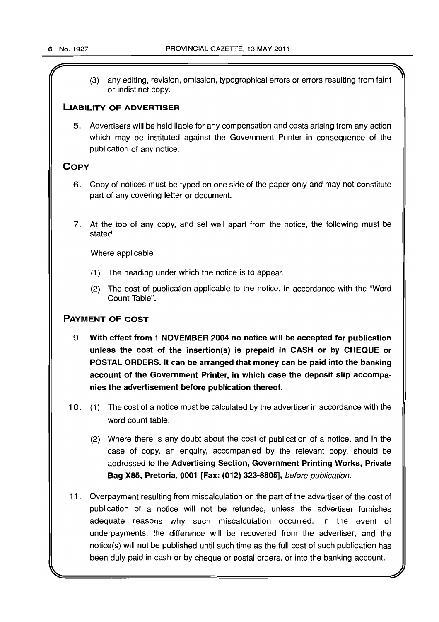$\mathcal{L}$   $\mathcal{L}$   $\mathcal{L}$   $\mathcal{L}$   $\mathcal{L}$   $\mathcal{L}$   $\mathcal{L}$   $\mathcal{L}$   $\mathcal{L}$   $\mathcal{L}$   $\mathcal{L}$   $\mathcal{L}$   $\mathcal{L}$   $\mathcal{L}$   $\mathcal{L}$   $\mathcal{L}$   $\mathcal{L}$   $\mathcal{L}$   $\mathcal{L}$   $\mathcal{L}$   $\mathcal{L}$   $\mathcal{L}$   $\mathcal{L}$   $\mathcal{L}$   $\mathcal{$ 

(3) any editing, revision, omission, typographical errors or errors resulting from faint or indistinct copy.

### **LIABILITY** OF ADVERTISER

5. Advertisers will be held liable for any compensation and costs arising from any action which may be instituted against the Government Printer in consequence of the publication of any notice.

### **COPY**

- 6. Copy of notices must be typed on one side of the paper only and may not constitute part of any covering letter or document.
- 7. At the top of any copy, and set well apart from the notice, the following must be stated:

Where applicable

- (1) The heading under which the notice is to appear.
- (2) The cost of publication applicable to the notice, in accordance with the "Word Count Table".

### PAYMENT OF COST

- 9. With, effect from 1 NOVEMBER 2004 no notice will be accepted for publication unless the cost of the insertion(s) is prepaid in CASH or by CHEQUE or POSTAL ORDERS. It can be arranged that money can be paid into the banking account of the Government Printer, in which case the deposit Slip accompanies the advertisement before publication thereof.
- 10. (1) The cost of a notice must be calculated by the advertiser in accordance with the word count table.
	- (2) Where there is any doubt about the cost of publication of a notice, and in the case of copy, an enquiry, accompanied by the relevant copy, should be addressed to the Advertising Section, Government Printing Works, Private Bag X85, Pretoria, 0001 [Fax: (012) 323-8805], before publication.
- 11. Overpayment resulting from miscalculation on the part of the advertiser of the cost of publication of a notice will not be refunded, unless the advertiser furnishes adequate reasons why such miscalculation occurred. In the event of underpayments, the difference will be recovered from the advertiser, and the notice(s) will not be published until such time as the full cost of such publication has been duly paid in cash or by cheque or postal orders, or into the banking account.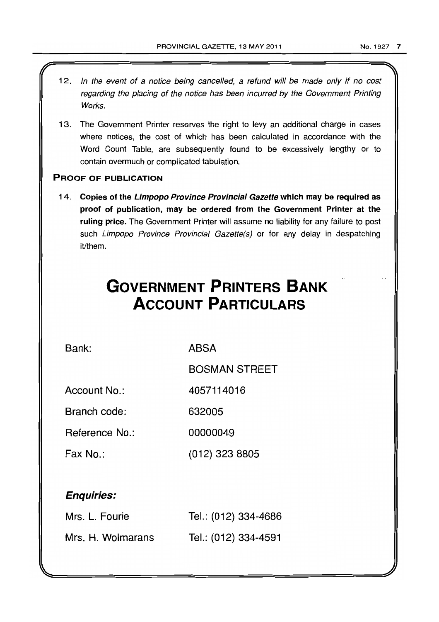- 1 2. In the event of a notice being cancelled, a refund will be made only if no cost regarding the placing of the notice has been incurred by the Government Printing Works.
- 13. The Government Printer reserves the right to levy an additional charge in cases where notices, the cost of which has been calculated in accordance with the Word Count Table, are subsequently found to be excessively lengthy or to contain overmuch or complicated tabulation.

### PROOF OF PUBLICATION

14. Copies of the Limpopo Province Provincial Gazette which may be required as proof of publication, may be ordered from the Government Printer at the ruling price. The Government Printer will assume no liability for any failure to post such Limpopo Province Provincial Gazette(s) or for any delay in despatching it/them.

# **GOVERNMENT PRINTERS BANK ACCOUNT PARTICULARS**

Bank:

ABSA

BOSMAN STREET

Account No.: 4057114016

Branch code: 632005

Reference No.: 00000049

Fax No.: (012) 323 8805

# Enquiries:

| Mrs. L. Fourie    | Tel.: (012) 334-4686 |
|-------------------|----------------------|
| Mrs. H. Wolmarans | Tel.: (012) 334-4591 |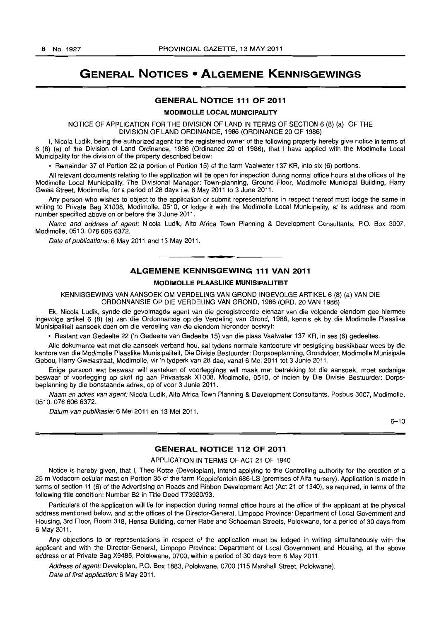# **GENERAL NOTICES • ALGEMENE KENNISGEWINGS**

### **GENERAL NOTICE 111 OF 2011**

#### **MODIMOLLE LOCAL MUNICIPALITY**

NOTICE OF APPLICATION FOR THE DIVISION OF LAND IN TERMS OF SECTION 6 (8) (a) OF THE DIVISION OF LAND ORDINANCE, 1986 (ORDINANCE 20 OF 1986)

I, Nicola Ludik, being the authorized agent for the registered owner of the following property hereby give notice in terms of 6 (8) (a) of the Division of Land Ordinance, 1986 (Ordinance 20 of 1986), that I have applied with the Modimolle Local Municipality for the division of the property described below:

• Remainder 37 of Portion 22 (a portion of Portion 15) of the farm Vaalwater 137 KR, into six (6) portions.

All relevant documents relating to the application will be open for inspection during normal office hours at the offices of the Modimolle Local Municipality, The Divisional Manager: Town-planning, Ground Floor, Modimolle Municipal Building, Harry Gwala Street, Modimolle, for a period of 28 days i.e. 6 May 2011 to 3 June 2011.

Any person who wishes to object to the application or submit representations in respect thereof must lodge the same in writing to Private Bag X1008, Modimolle, 0510, or lodge it with the Modimolle Local Municipality, at its address and room number specified above on or before the 3 June 2011.

Name and address of agent: Nicola Ludik, Alto Africa Town Planning & Development Consultants, P.O. Box 3007, Modimolle, 0510. 0766066372.

Date of publications: 6 May 2011 and 13 May 2011.

### **-. ALGEMENE KENNISGEWING 111 VAN 2011**

#### **MODIMOLLE PLAASLIKE MUNISIPALITEIT**

KENNISGEWING VAN AANSOEK OM VERDEUNG VAN GROND INGEVOLGE ARTIKEL 6 (8) (a) VAN DIE ORDONNANSIE OP DIE VERDEUNG VAN GROND, 1986 (ORD. 20 VAN 1986)

Ek, Nicola Ludik, synde die gevolmagde agent van die geregistreerde eienaar van die volgende eiendom gee hiermee ingevolge artikel 6 (8) (a) van die Ordonnansie op die Verdeling van Grond, 1986, kennis ek by die Modimolle Plaaslike Munisipaliteit aansoek doen om die verdeling van die eiendom hieronder beskryf:

• Restant van Gedeelte 22 ('n Gedeelte van Gedeelte 15) van die plaas Vaalwater 137 KR, in ses (6) gedeeltes.

Aile dokumente wat met die aansoek verband hou, sal tydens normale kantoorure vir besigtiging beskikbaar wees by die kantore van die Modimolle Plaaslike Munisipaliteit, Die Divisie Bestuurder: Dorpsbeplanning, Grondvloer, Modimolle Munisipale Gebou, Harry Gwalastraat. Modimolle, vir 'n tydperk van 28 dae, vanaf 6 Mei 2011 tot 3 Junie 2011.

Enige persoon wat beswaar will aanteken of voorleggings will maak met betrekking tot die aansoek, moet sodanige beswaar of voorlegging op skrif rig aan Privaatsak X1008, Modimolle, 0510, of indien by Die Divisie Bestuurder: Dorpsbeplanning by die bonstaande adres, op of voor 3 Junie 2011.

Naam en adres van agent: Nicola Ludik, Alto Africa Town Planning & Development Consultants, Posbus 3007, Modimolle, 0510.076 606 6372.

Datum van publikasie: 6 Mei 2011 en 13 Mei 2011.

 $6 - 13$ 

### **GENERAL NOTICE 112 OF 2011**

### APPLICATION IN TERMS OF ACT 21 OF 1940

Notice is hereby given, that I, Theo Kotze (Developlan), intend applying to the Controlling authority for the erection of a 25 m Vodacom cellular mast on Portion 35 of the farm Koppiefontein 686-LS (premises of Alfa nursery). Application is made in terms of section 11 (6) of the Advertising on Roads and Ribbon Development Act (Act 21 of 1940), as required, in terms of the following title condition: Number B2 in Title Deed T73920/93.

Particulars of the application will lie for inspection during normal office hours at the office of the applicant at the physical address mentioned below, and at the offices of the Director-General, Limpopo Province: Department of Local Government and Housing, 3rd Floor, Room 318, Hensa Building, corner Rabe and Schoeman Streets, Polokwane, for a period of 30 days from 6 May 2011.

Any objections to or representations in respect of the application must be lodged in writing simultaneously with the applicant and with the Director-General, Limpopo Province: Department of Local Government and Housing, at the above address or at Private Bag X9485, Polokwane, 0700, within a period of 30 days from 6 May 2011.

Address of agent: Developlan, P.O. Box 1883, Polokwane, 0700 (115 Marshall Street, Polokwane). Date of first application: 6 May 2011.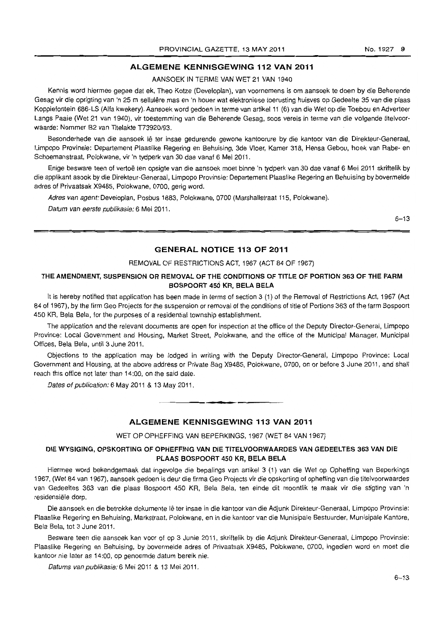### ALGEMENE KENNISGEWING 112 VAN 2011

AANSOEK IN TERME VAN WET 21 VAN 1940

Kennis word hiermee gegee dat ek, Theo Kotze (Developlan), van voornemens is om aansoek te doen by die Beherende Gesag vir die oprigting van 'n 25 m sellulêre mas en 'n houer wat elektroniese toerusting huisves op Gedeelte 35 van die plaas Koppiefontein 686-LS (Alfa kwekery). Aansoek word gedoen in terme van artikel 11 (6) van die Wet op die Toebou en Adverteer Langs Paaie (Wet 21 van 1940), vir toestemming van die Beherende Gesag, soos vereis in terme van die volgende titelvoorwaarde: Nommer B2 van Titelakte T73920/93.

Besonderhede van die aansoek lê ter insae gedurende gewone kantoorure by die kantoor van die Direkteur-Generaal, Limpopo Provinsie: Departement Plaaslike Regering en Behuising, 3de Vloer, Kamer 318, Hensa Gebou, hoek van Rabe- en Schoemanstraat, Polokwane, vir 'n tydperk van 30 dae vanaf 6 Mei 2011.

Enige besware teen of vertoë ten opsigte van die aansoek moet binne 'n tydperk van 30 dae vanaf 6 Mei 2011 skriftelik by die applikant asook by die Direkteur-Generaal, Limpopo Provinsie: Departement Plaaslike Regering en Behuising by bovermelde adres of Privaatsak X9485, Polokwane, 0700, gerig word.

Adres van agent: Developlan, Posbus 1883, Polokwane, 0700 (Marshallstraat 115, Polokwane).

Datum van eerste publikasie: 6 Mei 2011.

6-13

### GENERAL NOTICE 113 OF 2011

REMOVAL OF RESTRICTIONS ACT, 1967 (ACT 84 OF 1967)

### THE AMENDMENT, SUSPENSION OR REMOVAL OF THE CONDITIONS OF TITLE OF PORTION 363 OF THE FARM BOSPOORT 450 KR, BELA BELA

It is hereby notified that application has been made in terms of section 3 (1) of the Removal of Restrictions Act, 1967 (Act 84 of 1967), by the firm Geo Projects for the suspension or removal of the conditions of title of Portions 363 of the farm Bospoort 450 KR, Bela Bela, for the purposes of a residential township establishment.

The application and the relevant documents are open for inspection at the office of the Deputy Director-General, limpopo Province: Local Government and Housing, Market Street, Polokwane, and the office of the Municipal Manager, Municipal Offices, Bela Bela, until 3 June 2011.

Objections to the application may be lodged in writing with the Deputy Director-General, Limpopo Province: Local Government and Housing, at the above address or Private Bag X9485, Polokwane, 0700, on or before 3 June 2011, and shall reach this office not later than 14:00, on the said date.

Dates of publication: 6 May 2011 & 13 May 2011.

### ALGEMENE KENNISGEWING 113 VAN 2011

**-.** 

WET OP OPHEFFING VAN BEPERKINGS, 1967 (WET 84 VAN 1967)

### DIE WYSIGING, OPSKORTING OF OPHEFFING VAN DIE TlTELVOORWAARDES VAN GEDEELTES 363 VAN DIE PLAAS BOSPOORT 450 KR, BELA BELA

Hiermee word bekendgemaak dat ingevolge die bepalings van artikel 3 (1) van die Wet op Opheffing van Beperkings 1967, (Wet 84 van 1967), aansoek gedoen is deur die firma Geo Projects vir die opskorting of opheffing van die titelvoorwaardes van Gedeeltes 363 van die plaas Bospoort 450 KR, Bela Bela, ten einde dit moontlik te maak vir die stigting van 'n residensiële dorp.

Die aansoek en die betrokke dokumente lê ter insae in die kantoor van die Adjunk Direkteur-Generaal, Limpopo Provinsie: Plaaslike Regering en Behuising, Markstraat, Polokwane, en in die kantoor van die Munisipale Bestuurder, Munisipale Kantore, Bela Bela, tot 3 June 2011.

Besware teen die aansoek kan voor of op 3 Junie 2011, skriftelik by die Adjunk Direkteur-Generaal, Limpopo Provinsie: Plaaslike Regering en Behuising, by bovermelde adres of Privaatsak X9485, Polokwane, 0700, ingedien word en moet die kantoor nie later as 14:00, op genoemde datum bereik nie,

Datums van publikasie:6 Mei 2011 & 13 Mei 2011.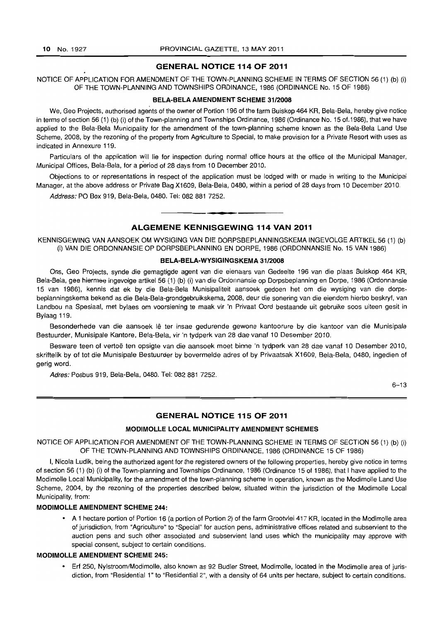#### **GENERAL NOTICE 114 OF 2011**

NOTICE OF APPLICATION FOR AMENDMENT OF THE TOWN-PLANNING SCHEME IN TERMS OF SECTION 56 (1) (b) (i) OF THE TOWN-PLANNING AND TOWNSHIPS ORDINANCE, 1986 (ORDINANCE No. 15 OF 1986)

### **BELA-BELA AMENDMENT SCHEME 31/2008**

We, Geo Projects, authorised agents of the owner of Portion 196 of the farm Buiskop 464 KR, Bela-Bela, hereby give notice in terms of section 56 (1) (b) (i) of the Town-planning and Townships Ordinance, 1986 (Ordinance No. 15 of-1986), that we have applied to the Bela-Bela Municipality for the amendment of the town-planning scheme known as the Bela-Bela Land Use Scheme, 2008, by the rezoning of the property from Agriculture to Special, to make provision for a Private Resort with uses as indicated in Annexure 119.

Particulars of the application will lie for inspection during normal office hours at the office of the Municipal Manager, Municipal Offices, Bela-Bela, for a period of 28 days from 10 December 2010.

Objections to or representations in respect of the application must be lodged with or made in writing to the Municipal Manager, at the above address or Private Bag X1609, Bela-Bela, 0480, within a period of 28 days from 10 December 2010.

Address; PO Box 919, Bela-Bela, 0480. Tel: 082 881 7252 .

### • **- I ALGEMENE KENNISGEWING 114 VAN 2011**

KENNISGEWING VAN AANSOEK OM WYSIGING VAN DIE DORPSBEPLANNINGSKEMA INGEVOLGE ARTIKEL 56 (1) (b) (i) VAN DIE ORDONNANSIE OP DORPSBEPLANNING EN DORPE, 1986 (ORDONNANSIE No. 15 VAN 1986)

#### **BELA-BELA-WYSIGINGSKEMA 31/2008**

Ons, Geo Projects, synde die gemagtigde agent van die eienaars van Gedeelte 196 van die plaas Buiskop 464 KR, Bela-Beja, gee hiermee ingevolge artikel 56 (1) (b) (i) van die Ordonnansie op Dorpsbeplanning en Dorpe, 1986 (Ordonnansie 15 van 1986), kennis dat ek by die Bela-Bela Munisipaliteit aansoek gedoen het om die wysiging van die dorpsbeplanningskema bekend as die Bela-Bela-grondgebruikskema, 2008, deur die sonering van die eiendom hierbo beskryf, van Landbou na Spesiaal, met bylaes om voorsiening te maak vir 'n Privaat Oord bestaande uit gebruike soos uiteen gesit in Bylaag 119.

Besonderhede van die aansoek lê ter insae gedurende gewone kantoorure by die kantoor van die Munisipale Bestuurder, Munisipale Kantore, Bela-Bela, vir 'n tydperk van 28 dae vanaf 10 Desember 2010.

Besware teen of vertoë ten opsigte van die aansoek moet binne 'n tydperk van 28 dae vanaf 10 Desember 2010, skriftelik by of tot die Munisipale Bestuurder by bovermelde adres of by Privaatsak X1609, Bela-Bela, 0480, ingedien of gerig word.

Adres: Posbus 919, Bela-Bela, 0480. Tel: 082 881 7252.

6-13

### **GENERAL NOTICE 115 OF 2011**

#### MODI MOLLE **LOCAL MUNICIPALITY AMENDMENT SCHEMES**

NOTICE OF APPLICATION FOR AMENDMENT OF THE TOWN-PLANNING SCHEME IN TERMS OF SECTION 56 (1) (b) (i) OF THE TOWN-PLANNING AND TOWNSHIPS ORDINANCE, 1986 (ORDINANCE 15 OF 1986)

I, Nicola Ludik, being the authorized agent for the registered owners of the following properties, hereby give notice in terms of section 56 (1) (b) (i) of the Town-planning and Townships Ordinance, 1986 (Ordinance 15 of 1986), that I have applied to the Modimolle Local Municipality, for the amendment of the town-planning scheme in operation, known as the Modimolle Land Use Scheme, 2004, by the rezoning of the properties described below, situated within the jurisdiction of the Modimolle Local Municipality, from:

### **MODIMOLLE AMENDMENT SCHEME 244:**

• A 1 hectare portion of Portion 16 (a portion of Portion 2) of the farm Grootvlei 417 KR, located in the Modimolle area of jurisdiction, from "Agriculture" to "Special" for auction pens, administrative offices related and subservient to the auction pens and such other associated and subservient land uses which the municipality may approve with special consent, subject to certain conditions.

### **MODIMOLLE AMENDMENT SCHEME 245:**

• Erf 250, Nylstroom/Modimolle, also known as 92 Budler Street, Modimolle, located in the Modimolle area of jurisdiction, from "Residential 1" to "Residential 2", with a density of 64 units per hectare, subject to certain conditions.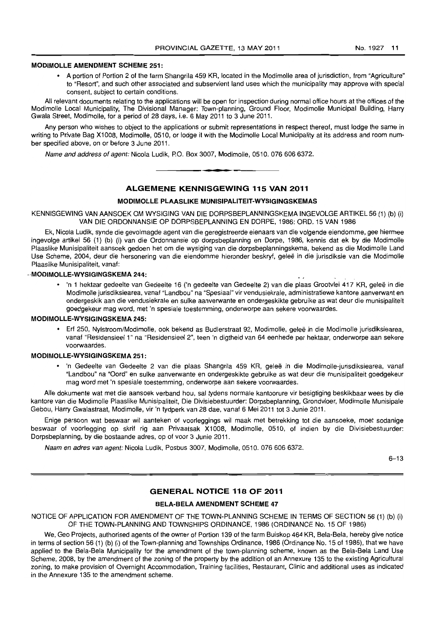### **MODIMOLLE AMENDMENT SCHEME 251:**

• A portion of Portion 2 of the farm Shangrila 459 KR, located in the Modimolle area of jurisdiction, from "Agriculture" to "Resort", and such other associated and subservient land uses which the municipality may approve with special consent, subject to certain conditions.

All relevant documents relating to the applications will be open for inspection during normal office hours at the offices of the Modimolle Local Municipality, The Divisional Manager: Town-planning, Ground Floor, Modimolle Municipal Building, Harry Gwala Street, Modimolle, for a period of 28 days, i.e. 6 May 2011 to 3 June 2011.

Any person who wishes to object to the applications or submit representations in respect thereof, must lodge the same in writing to Private Bag X1008, Modimolle, 0510, or lodge it with the Modimolle Local Municipality at its address and room number specified above, on or before 3 June 2011.

Name and address of agent: Nicola Ludik, P.O. Box 3007, Modimolle, 0510, 076 606 6372.

### **ALGEMENE KENNISGEWING 115 VAN 2011**

**• •** 

#### **MODIMOLLE PLAASLIKE MUNISIPALITEIT-WYSIGINGSKEMAS**

KENNISGEWING VAN AANSOEK OM WYSIGING VAN DIE DORPSBEPLANNINGSKEMA INGEVOLGE ARTIKEL 56 (1) (b) (i) VAN DIE ORDONNANSIE OP DORPSBEPLANNING EN DORPE, 1986: ORO. 15 VAN 1986

Ek, Nicola Ludik, synde die gevolmagde agent van die geregistreerde eienaars van die volgende eiendomme, gee hiermee ingevolge artikel 56 (1) (b) (i) van die Ordonnansie op dorpsbeplanning en Dorpe, 1986, kennis dat ek by die Modimolle Plaaslike Munisipaliteit aansoek gedoen het om die wysiging van die dorpsbeplanningskema, bekend as die Modimolle Land Use Scheme, 2004, deur die hersonering van die eiendomme hieronder beskryf, gelee in die jurisdiksie van die Modimolle Plaaslike Munisipaliteit, vanaf:

### **.,MODIMOLLE-WYSIGINGSKEMA 244:**

• 'n 1 hektaar gedeelte van Gedeelte 16 ('n gedeelte van Gedeelte 2) van die plaas Grootvlei 417 KR, geleë in die Modimolle jurisdiksiearea, vanaf "Landbou" na "Spesiaa'" vir vendusiekrale, administratiewe kantore aanverwant en ondergeskik aan die vendusiekrale en sulke aanverwante en ondergeskikte gebruike as wat deur die munisipaliteit goedgekeur mag word, met 'n spesiale toestemming, onderworpe aan sekere voorwaardes.

#### **MODIMOLLE-WYSIGINGSKEMA 245:**

• Erf 250, Nylstroom/Modimolle, ook bekend as Budlerstraat 92, Modimolle, gelee in die Modimolle jurisdiksiearea, vanaf "Residensieel 1" na "Residensieel 2", teen 'n digtheid van 64 eenhede per hektaar, onderworpe aan sekere voorwaardes.

#### **MODIMOLLE-WYSIGINGSKEMA 251:**

• 'n Gedeelte van Gedeelte 2 van die plaas Shangrila 459 KR, gelee in die Modimolle-jurisdiksiearea, vanaf "Landbou" na "Oord" en sulke aanverwante en ondergeskikte gebruike as wat deur die munisipaliteit goedgekeur mag word met 'n spesiale toestemming, onderworpe aan sekere voorwaardes.

Aile dokumente wat met die aansoek verband hou, sal tydens normale kantoorure vir besigtiging beskikbaar wees by die kantore van die Modimolle Plaaslike Munisipaliteit, Die Divisiebestuurder: Dorpsbeplanning, Grondvloer, Modimolle Munisipale Gebou, Harry Gwalastraat, Modimolle, vir 'n tydperk *van* 28 dae, vanaf 6 Mei 2011 tot 3 Junie 2011.

Enige persoon wat beswaar wil aanteken of voorleggings wil maak met betrekking tot die aansoeke, moet sodanige beswaar of voorlegging op skrif rig aan Privaatsak X1008, Modimolle, 0510, of indien by die Divisiebestuurder: Dorpsbeplanning, by die bostaande adres, op of voor 3 Junie 2011.

Naam en adres van agent: Nicola Ludik, Posbus 3007, Modimolle, 0510. 076 606 6372.

6-13

### **GENERAL NOTICE 118 OF 2011**

### **BELA·BELA AMENDMENT SCHEME 47**

NOTICE OF APPLICATION FOR AMENDMENT OF THE TOWN-PLANNING SCHEME IN TERMS OF SECTION 56 (1) (b) (i) OF THE TOWN-PLANNING AND TOWNSHIPS ORDINANCE, 1986 (ORDINANCE No. 15 OF 1986)

We, Geo Projects, authorised agents of the owner of Portion 139 of the farm Buiskop 464 KR, Bela-Bela, hereby give notice in terms of section 56 (1) (b) (i) of the Town-planning and Townships Ordinance, 1986 (Ordinance No. 15 of 1986), that we have applied to the Bela-Bela Municipality for the amendment of the town-planning scheme, known as the Bela-Bela Land Use Scheme, 2008, by the amendment of the zoning of the property by the addition of an Annexure 135 to the existing Agricultural zoning, to make provision of Overnight Accommodation, Training facilities, Restaurant, Clinic and additional uses as indicated in the Annexure 135 to the amendment scheme.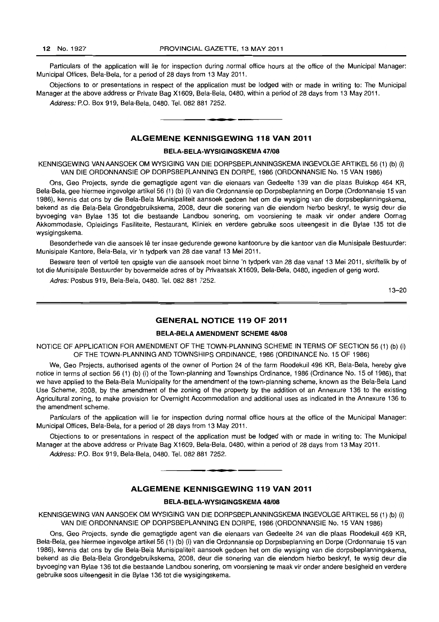Particulars of the application will lie for inspection during normal office hours at the office of the Municipal Manager: Municipal Offices, Bela-Bela, for a period of 28 days from 13 May 2011.

Objections to or presentations in respect of the application must be lodged with or made in writing to: The Municipal Manager at the above address or Private Bag X1609, Bela-Bela, 0480, within a period of 28 days from 13 May 2011.

Address: P.O. Box 919, Bela-Bela, 0480. Tel. 082 881 7252. . **-.** 

### **ALGEMENE KENNISGEWING 118 VAN 2011**

#### **BELA-BELA-WYSIGINGSKEMA 47/08**

KENNISGEWING VAN AANSOEK OM WYSIGING VAN DIE DORPSBEPLANNINGSKEMA INGEVOLGE ARTIKEL 56 (1) (b) (i) VAN DIE ORDONNANSIE OP DORPSBEPLANNING EN DORPE, 1986 (ORDONNANSIE No. 15 VAN 1986)

Ons, Geo Projects, synde die gemagtigde agent van die eienaars van Gedeelte 139 van die plaas Buiskop 464 KR, Bela-Bela, gee hiermee ingevolge artikel 56 (1) (b) (I) van die Ordonnansie op Dorpsbeplanning en Dorpe (Ordonnansie 15 van 1986), kennis dat ons by die Bela-Bela Munisipaliteit aansoek gedoen het om die wysiging van die dorpsbeplanningskema, bekend as die Bela-Bela Grondgebruikskema, 2008, deur die sonering van die eiendom hierbo beskryf, te wysig deur die byvoeging van Bylae 135 tot die bestaande Landbou sonering, om voorsiening te maak vir onder andere Oornag Akkommodasie, Opleidings Fasiliteite, Restaurant, Kliniek en verdere gebruike soos uiteengesit in die Bylae 135 tot die wysigingskema.

Besonderhede van die aansoek lê ter insae gedurende gewone kantoorure by die kantoor van die Munisipale Bestuurder: Munisipale Kantore, Bela-Bela, vir 'n tydperk van 28 dae vanaf 13 Mei 2011.

Besware teen of vertoë ten opsigte van die aansoek moet binne 'n tydperk van 28 dae vanaf 13 Mei 2011, skriftelik by of tot die Munisipale Bestuurder by bovermelde adres of by Privaatsak X1609, Bela-Bela, 0480, ingedien of gerig word.

Adres: Posbus 919, Bela-Bela, 0480. Tel. 082 881 7252.

13-20

### **GENERAL NOTICE 119 OF 2011**

#### **BELA-BELA AMENDMENT SCHEME 48/08**

NOTICE OF APPLICATION FOR AMENDMENT OF THE TOWN-PLANNING SCHEME IN TERMS OF SECTION 56 (1) (b) (i) OF THE TOWN-PLANNING AND TOWNSHIPS ORDINANCE, 1986 (ORDINANCE No. 15 OF 1986)

We, Geo Projects, authorised agents of the owner of Portion 24 of the farm Roodekuil 496 KR, Bela-Bela, hereby give notice in terms of section 56 (1) (b) (i) of the Town-planning and Townships Ordinance, 1986 (Ordinance No. 15 of 1986). that we have applied to the Bela-Bela Municipality for the amendment of the town-planning scheme, known as the Bela-Bela Land Use Scheme, 2008, by the amendment of the zoning of the property by the addition of an Annexure 136 to the existing Agricultural zoning, to make provision for Overnight Accommodation and additional uses as indicated in the Annexure 136 to the amendment scheme.

Particulars of the application will lie for inspection during normal office hours at the office of the Municipal Manager: Municipal Offices, Bela-Bela, for a period of 28 days from 13 May 2011.

Objections to or presentations in respect of the application must be lodged with or made in writing to: The Municipal Manager at the above address or Private Bag X1609, Bela-Bela, 0480, within a period of 28 days from 13 May 2011.

Address: P.O. Box 919, Bela-Bela, 0480. Tel. 082 881 7252.

### **ALGEMENE KENNISGEWING 119 VAN 2011**

**• •** 

#### BELA~BELA-WYSIGINGSKEMA **48108**

KENNISGEWING VAN AANSOEK OM WYSIGING VAN DIE DORPSBEPLANNINGSKEMA INGEVOLGE ARTIKEL 56 (1) (b) (i) VAN DIE ORDONNANSIE OP DORPSBEPLANNING EN DORPE, 1986 (ORDONNANSIE No. 15 VAN 1986)

Ons, Geo Projects, synde die gemagtigde agent van die eienaars van Gedeelte 24 van die plaas Roodekuil 469 KR, Bela-Bela, gee hiermee ingevolge artikel56 (1) (b) (i) van die Ordonnansie op Dorpsbeplanning en Dorpe (Ordonnansie 15 van 1986), kennis dat ons by die Bela-Bela Munisipaliteit aansoek gedoen het om die wysiging van die dorpsbeplanningskema, bekend as die Bela-Bela Grondgebruikskema, 2008. deur die sonering van die eiendom hierbo beskryf, te wysig deur die byvoeging van Bylae 136 tot die bestaande Landbou sonering, om voorsiening te maak vir onder andere besigheid en verdere gebruike soos uiteengesit in die Bylae 136 tot die wysigingskema.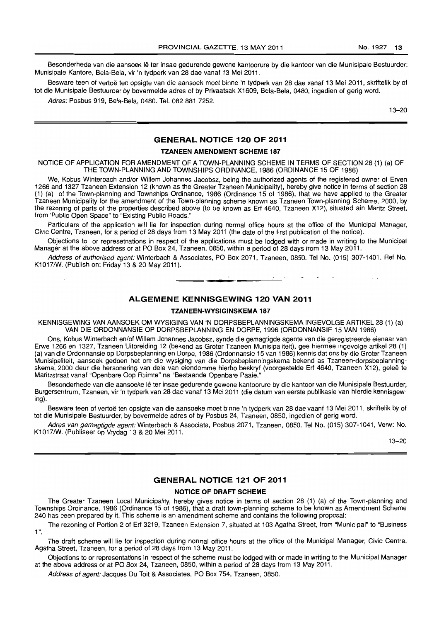Besonderhede van die aansoek lê ter insae gedurende gewone kantoorure by die kantoor van die Munisipale Bestuurder: Munisipale Kantore, Bela-Bela, vir 'n tydperk van 28 dae vanaf 13 Mei 2011.

Besware teen of vertoë ten opsigte van die aansoek moet binne 'n tydperk van 28 dae vanaf 13 Mei 2011, skriftelik by of tot die Munisipale Bestuurder by bovermelde adres of by Privaatsak X1609, Bela-Bela, 0480, ingedien of gerig word.

Adres: Posbus 919, Bela-Bela, 0480. Tel. 082881 7252.

13-20

### GENERAL NOTICE 120 OF 2011

### TZANEEN AMENDMENT SCHEME 187

NOTICE OF APPLICATION FOR AMENDMENT OF A TOWN-PLANNING SCHEME IN TERMS OF SECTION 28 (1) (a) OF THE TOWN-PLANNING AND TOWNSHIPS ORDINANCE, 1986 (ORDINANCE 15 OF 1986)

We, Kobus Winterbach and/or Willem Johannes Jacobsz, being the authorized agents of the registered owner of Erven 1266 and 1327 Tzaneen Extension 12 (known as the Greater Tzaneen Municipality), hereby give notice in terms of section 28 (1) (a) of the Town-planning and Townships Ordinance, 1986 (Ordinance 15 of 1986), that we have applied to the Greater Tzaneen Municipality for the amendment of the Town-planning scheme known as Tzaneen Town-planning Scheme, 2000, by the rezoning of parts of the properties described above (to be known as Erf 4640, Tzaneen X12), situated ain Maritz Street, from 'Public Open Space" to "Existing Public Roads."

Particulars of the application will lie for inspection during normal office hours at the office of the Municipal Manager, . Civic Centre, Tzaneen, for a period of 28 days from 13 May 2011 (the date of the first publication of the notice).

Objections to or represetnations in respect of the applications must be lodged with or made in writing to the Municipal Manager at the above address or at PO Box 24, Tzaneen, 0850, within a period of 28 days from 13 May 2011.

Address of authorised agent: Winterbach & Associates, PO Box 2071, Tzaneen, 0850. Tel No. (015) 307-1401. Ref No. K1017/W. (Publish on: Friday 13 & 20 May 2011).

**• •** 

### ALGEMENE KENNISGEWING 120 VAN 2011

#### TZANEEN·WYSIGINSKEMA 187

KENNISGEWING VAN AANSOEK OM WYSIGING VAN 'N DORPSBEPLANNINGSKEMA INGEVOLGE ARTIKEL 28 (1) (a) VAN DIE ORDONNANSIE OP DORPSBEPLANNING EN DORPE, 1996 (ORDONNANSIE 15 VAN 1986)

Ons, Kobus Winterbach en/of Willem Johannes Jacobsz, synde die gemagtigde agente van die geregistreerde eienaar van Erwe 1266 en 1327, Tzaneen Uitbreiding 12 (bekend as Groter Tzaneen Munisipaliteit), gee hiermee ingevolge artikel 28 (1) (a) van die Ordonnansie op Dorpsbeplanning en Dorpe, 1986 (Ordonnansie 15 van 1986) kennis dat ons by die Groter Tzaneen Munisipaliteit, aansoek gedoen het om die wysiging van die Dorpsbeplanningskema bekend as Tzaneen-dorpsbeplanningskema, 2000 deur die hersonering van dele van eiendomme hierbo beskryf (voorgestelde Erf 4640, Tzaneen X12), gelee te Maritzstraat vanaf "Openbare Oop Ruimte" na "Bestaande Openbare Paaie."

Besonderhede van die aansoeke lê ter insae gedurende gewone kantoorure by die kantoor van die Munisipale Bestuurder, Burgersentrum, Tzaneen, vir 'n tydperk van 28 dae vanaf 13 Me; 2011 (die datum van eerste publikasie van hierdie kennisgewing).

Besware teen of vertoë ten opsigte van die aansoeke moet binne 'n tydperk van 28 dae vaanf 13 Mei 2011, skriftelik by of tot die Munisipale Bestuurder, by bovermelde adres of by Posbus 24, Tzaneen, 0850, ingedien of gerig word.

Adres van gemagtigde agent: Winterbach & Associate, Posbus 2071, Tzaneen, 0850. Tel No. (015) 307-1041, Verw: No. K1017/W. (Publiseer op Vrydag 13 & 20 Mei 2011.

 $13 - 20$ 

### GENERAL NOTICE 121 OF 2011

#### NOTICE OF DRAFT SCHEME

The Greater Tzaneen Local Municipality, hereby gives notice in terms of section 28 (1) (a) of the Town-planning and Townships Ordinance, 1986 (Ordinance 15 of 1986), that a draft town-planning scheme to be known as Amendment Scheme 240 has been prepared by it. This scheme is an amendment scheme and contains the following proposal:

The rezoning of Portion 2 of Erf 3219, Tzaneen Extension 7, situated at 103 Agatha Street, from "Municipal" to "Business 1".

The draft scheme will lie for inspection during normal office hours at the office of the Municipal Manager, Civic Centre, Agatha Street, Tzaneen, for a period of 28 days from 13 May 2011.

Objections to or representations in respect of the scheme must be lodged with or made in writing to the Municipal Manager at the above address or at PO Box 24, Tzaneen, 0850, within a period of 28 days from 13 May 2011.

Address of agent: Jacques Du Toit & Associates, PO Box 754, Tzaneen, 0850.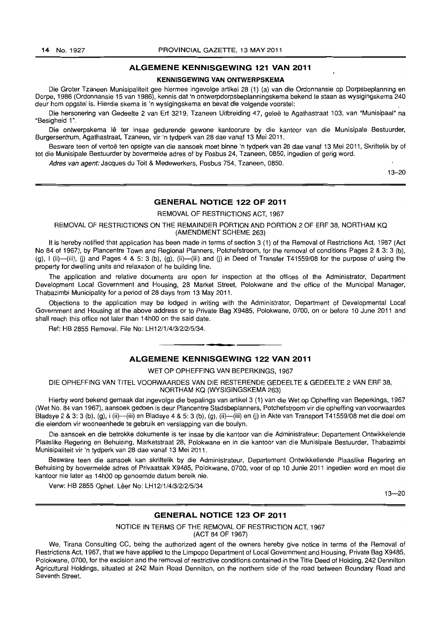### **ALGEMENE KENNISGEWING 121 VAN 2011**

#### **KENNISGEWING VAN ONTWERPSKEMA**

Die Groter Tzaneen Munisipaliteit gee hiermee ingevolge artikel 28 (1) (a) van die Ordonnansie op Dorpsbeplanning en Dorpe, 1986 (Ordonnansie 15 van 1986), kennis dat 'n ontwerpdorpsbeplanningskema bekend te staan as wysigingskema 240 deur hom opgstel is. Hierdie skema is 'n wysigingskema en bevat die volgende voorstel:

Die hersonering van Gedeelte 2 van Erf 3219, Tzaneen Uitbreiding 47, geleë te Agathastraat 103, van "Munisipaal" na "Besigheid 1 ".

Die ontwerpskema Iê ter insae gedurende gewone kantoorure by die kantoor van die Munisipale Bestuurder, Burgersentrum, Agathastraat, Tzaneen, vir 'n tydperk van 28 dae vanaf 13 Mei 2011.

Besware teen of vertoe ten opsigte van die aansoek moet binne 'n tydperk van 28 dae vanaf 13 Mei 2011, Skriftelik by of tot die Munisipale Bestuurder by bovermelde adres of by Posbus 24, Tzaneen, 0850, ingedien of gerig word.

Adres van agent: Jacques du Toit & Medewerkers, Posbus 754, Tzaneen, 0850.

13-20

### **GENERAL NOTICE 122 OF 2011**

REMOVAL OF RESTRICTIONS ACT, 1967

REMOVAL OF RESTRICTIONS ON THE REMAINDER PORTION AND PORTION 2 OF ERF 38, NORTHAM KQ (AMENDMENT SCHEME 263)

It is hereby notified that application has been made in terms of section 3 (1) of the Removal of Restrictions Act, 1967 (Act No 84 of 1967), by Plancentre Town and Regional Planners, Potchefstroom, for the removal of conditions Pages 2 & 3: 3 (b), (9), I (ii}-(iii), (j) and Pages 4 & 5: 3 (b), (g), (ii}-(iii) and (j) in Deed of Transfer T41559/08 for the purpose of using the property for dwelling units and relaxation of he building line.

The application and relative documents are open for inspection at the offices of the Administrator, Department Development Local Government and Housing, 28 Market Street, Polokwane and the office of the Municipal Manager, Thabazimbi Municipality for a period of 28 days from 13 May 2011.

Objections to the application may be lodged in writing with the Administrator, Department of Developmental Local Government and Housing at the above address or to Private Bag X9485, Polokwane, 0700, on or before 10 June 2011 and shall reach this office not later than 14hOO on the said date.

Ref: HB 2855 Removal. File No: LH1211/4/3/21215/34.

### . **-. ALGEMENE KENNISGEWING 122 VAN 2011**

#### WET OP OPHEFFING VAN BEPERKINGS, 1967

DIE OPHEFFING VAN TITEL VOORWAARDES VAN DIE RESTERENDE GEDEELTE & GEDEELTE 2 VAN ERF 38, NORTHAM KQ (WYSIGINGSKEMA 263)

Hierby word bekend gemaak dat ingevolge die bepalings van artikel 3 (1) van die Wet op Opheffing van Beperkings, 1967 (Wet No. 84 van 1967), aansoek gedoen is deur Plancentre Stadsbeplanners, Potchefstroom vir die opheffing van voorwaardes Bladsye 2 & 3: 3 (b), (g), i (ii)-(iii) en Bladsye 4 & 5: 3 (b), (g), (ii)--(iii) en (j) in Akte van Transport T41559/08 met die doel om die eiendom vir wooneenhede te gebruik en verslapping van die boulyn.

Die aansoek en die betrokke dokumente is ter insae by die kantoor van die Administrateur: Departement Ontwikkelende Plaaslike Regering en Behuising, Marketstraat 28, Polokwane en in die kantoor van die Munisipale Bestuurder, Thabazimbi Munisipaliteit vir 'n tydperk van 28 dae vanaf 13 Mei 2011.

Besware teen die aansoek kan skriftelik by die Administrateur, Departement Ontwikkellende Plaaslike Regering en Behuising by bovermelde adres of Privaatsak X9485, Polokwane, 0700, voor of op 10 Junie 2011 ingedien word en moet die kantoor nie later as 14hOO op genoemde datum bereik nie.

Verw: HB 2855 Ophef. Lêer No: LH12/1/4/3/2/2/5/34

 $13 - 20$ 

### **GENERAL NOTICE 123 OF 2011**

NOTICE IN TERMS OF THE REMOVAL OF RESTRICTION ACT, 1967 (ACT 84 OF 1967)

We, Tirana Consulting CC, being the authorized agent of the owners hereby give notice in terms of the Removal of Restrictions Act, 1967, that we have applied to the Limpopo Department of Local Government and Housing, Private Bag X9485, Polokwane, 0700, for the excision and the removal of restrictive conditions contained in the Title Deed of Holding, 242 Dennilton Agricultural Holdings, situated at 242 Main Road Dennilton, on the northern side of the road between Boundary Road and Seventh Street.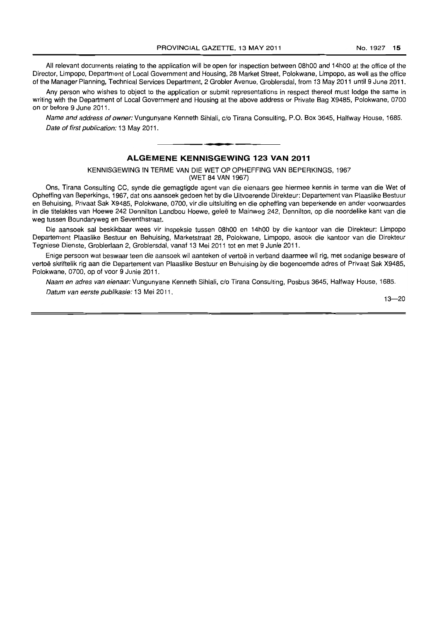All relevant documents relating to the application will be open for inspection between 08hOO and 14hOO at the office of the Director, Limpopo, Department of Local Government and Housing, 28 Market Street, Polokwane, Limpopo, as well as the office of the Manager Planning, Technical Services Department, 2 Grobler Avenue, Groblersdal, from 13 May 2011 until 9 June 2011.

Any person who wishes to object to the application or submit representations in respect thereof must lodge the same in writing with the Department of Local Government and Housing at the above address or Private Bag X9485, Polokwane, 0700 on or before 9 June 2011.

Name and address of owner: Vungunyane Kenneth Sihlali, c/o Tirana Consulting, P.O. Box 3645, Halfway House, 1685. Date of first publication: 13 May 2011.

**• •** 

### **ALGEMENE KENNISGEWING 123 VAN 2011**

KENNISGEWING IN TERME VAN DIE WET OP OPHEFFING VAN BEPERKINGS, 1967

(WET 84 VAN 1967)

Ons, Tirana Consulting CC, synde die gemagtigde agent van die eienaars gee hiermee kennis in terme van die Wet of Opheffing van Beperkings, 1967, dat ons aansoek gedoen het by die Uitvoerende Direkteur: Departement van Plaaslike Bestuur en Behuising, Privaat Sak X9485, Polokwane, 0700, vir die uitsluiting en die opheffing van beperkende en ander voorwaardes in die titelaktes van Hoewe 242 Dennilton Landbou Hoewe, geleë te Mainweg 242, Dennilton, op die noordelike kant van die weg tussen Boundaryweg en Seventhstraat.

Die aansoek sal beskikbaar wees vir inspeksie tussen 08hOO en 14hOO by die kantoor van die Direkteur: Limpopo Departement Plaaslike Bestuur en Behuising, Marketstraat 28, Polokwane, Limpopo, asook die kantoor van die Direkteur Tegniese Dienste, Groblerlaan 2, Groblersdal, vanaf 13 Mei 2011 tot en met 9 Junie 2011.

Enige persoon wat beswaar teen die aansoek wil aanteken of vertoë in verband daarmee wil rig, met sodanige besware of vertoë skriftelik rig aan die Departement van Plaaslike Bestuur en Behuising by die bogenoemde adres of Privaat Sak X9485, Polokwane, 0700, op of voor 9 Junie 2011.

Naam en adres van eienaar: Vungunyane Kenneth Sihlali, c/o Tirana Consulting. Posbus 3645, Halfway House, 1685. Datum van eerste publikasie: 13 Mei 2011.

 $13 - 20$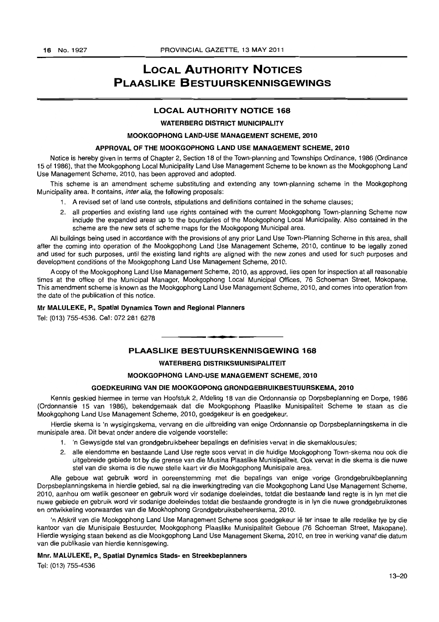# LOCAL AUTHORITY NOTICES PLAASLIKE BESTUURSKENNISGEWINGS

### LOCAL AUTHORITY NOTICE 168

### WATERBERG DISTRICT MUNICIPALITY

### MOOKGOPHONG LAND·USE MANAGEMENT SCHEME, 2010

### APPROVAL OF THE MOOKGOPHONG LAND USE MANAGEMENT SCHEME, 2010

Notice is hereby given in terms of Chapter 2, Section 18 of the Town-planning and Townships Ordinance, 1986 (Ordinance 15 of 1986), that the Mookgophong Local Municipality Land Use Management Scheme to be known as the Mookgophong Land Use Management Scheme, 2010, has been approved and adopted.

This scheme is an amendment scheme substituting and extending any town-planning scheme in the Mookgophong Municipality area. It contains, *inter alia*, the following proposals:

- 1. A revised set of land use controls, stipulations and definitions contained in the scheme clauses;
- 2. all properties and existing land use rights contained with the current Mookgophong Town-planning Scheme now include the expanded areas up to the boundaries of the Mookgophong Local Municipality. Also contained in the scheme are the new sets of scheme maps for the Mookgopong Municipal area.

All buildings being used in accordance with the provisions of any prior Land Use Town-Planning Scheme in this area, shall after the coming into operation of the Mookgophong Land Use Management Scheme, 2010, continue to be legally zoned and used for such purposes, until the existing land rights are aligned with the new zones and used for such purposes and development conditions of the Mookgophong Land Use Management Scheme, 2010.

A copy of the Mookgophong Land Use Management Scheme, 2010, as approved, lies open for inspection at all reasonable times at the office of the Municipal Manager, Mookgophong Local Municipal Offices, 76 Schoeman Street, Mokopane. This amendment scheme is known as the Mookgophong Land Use Management Scheme, 2010, and comes into operation from the date of the publication of this notice.

#### Mr MALULEKE, P., Spatial Dynamics Town and Regional Planners

Tel: (013) 755-4536. Cell: 072281 6278

### PLAASLIKE BESTUURSKENNISGEWING 168

**• •** 

#### WATERBERG DISTRIKSMUNISIPALITEIT

### MOOKGOPHONG LAND-USE MANAGEMENT SCHEME, 2010

#### GOEDKEURING VAN DIE MOOKGOPONG GRONDGEBRUIKBESTUURSKEMA. 2010

Kennis geskied hiermee in terme van Hoofstuk 2, Afdeling 18 van die Ordonnansie op Dorpsbeplanning en Dorpe, 1986 (Ordonnansie 15 van 1986), bekendgemaak dat die Mookgophong Plaaslike Munisipaliteit Scheme Ie staan as die Mookgophong Land Use Management Scheme, 2010, goedgekeur is en goedgekeur.

Hierdie skema is 'n wysigingskema, vervang en die uitbreiding van enige Ordonnansie op Dorpsbeplanningskema in die munisipale area. Dit bevat onder andere die volgende voorstelle:

- 1. 'n Gewysigde stel van grondgebruikbeheer bepalings en definisies vervat in die skemaklousules;
- 2. aile eiendomme en bestaande Land Use regte soos vervat in die huidige Mookgophong Town-skema nou ook die uitgebreide gebiede tot by die grense van die Musina Plaaslike Munisipaliteit. Ook vervat in die skema is die nuwe stel van die skema is die nuwe stelle kaart vir die Mookgophong Munisipale area.

Aile geboue wat gebruik word in ooreenstemming met die bepalings van enige vorige Grondgebruikbeplanning Dorpsbeplanningskema in hierdie gebied, sal na die inwerkingtreding van die Mookgophong Land Use Management Scheme, 2010, aanhou om wetlik gesoneer en gebruik word vir sodanige doeleindes, toldat die bestaande land regte is in Iyn met die nuwe gebiede en gebruik word vir sodanige doeleindes totdat die bestaande grondregte is in Iyn die nuwe grondgebruiksones en ontwikkeling voorwaardes van die Mookhophong Grondgebruiksbeheerskema, 2010.

'n Afskrif van die Mookgophong Land Use Management Scheme soos goedgekeur lê ter insae te alle redelike tye by die kantoor van die Munisipale Bestuurder, Mookgophong Plaaslike Munisipaliteit Geboue (76 Schoeman Street, Makopane). Hierdie wysiging staan bekend as die Mookgophong Land Use Management Skema, 2010, en tree in werking vanaf die datum van die publikasie van hierdie kennisgewing.

#### Mnr. MALULEKE, P., Spatial Dynamics Stads- en Streekbeplanners

Tel: (013) 755-4536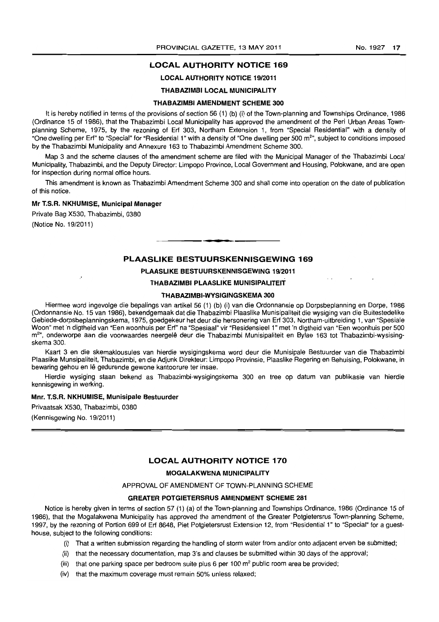### **LOCAL AUTHORITY NOTICE** 169

### LOCAL AUTHORITY NOTICE 19/2011

### THABAZIMBI LOCAL MUNICIPALITY

#### THABAZIMBI AMENDMENT SCHEME 300

It is hereby notified in terms of the provisions of section 56 (1) (b) (i) of the Town-planning and Townships Ordinance, 1986 (Ordinance 15 of 1986), that the Thabazimbi Local Municipality has approved the amendment of the Peri Urban Areas Townplanning Scheme, 1975, by the rezoning of Erf 303, Northam Extension 1, from "Special Residential" with a density of "One dwelling per Erf" to "Special" for "Residential 1" with a density of "One dwelling per 500 m<sup>2</sup>", subject to conditions imposed by the Thabazimbi Municipality and Annexure 163 to Thabazimbi Amendment Scheme 300.

Map 3 and the scheme clauses of the amendment scheme are filed with the Municipal Manager of the Thabazimbi Local Municipality, Thabazimbi, and the Deputy Director: Limpopo Province, Local Government and Housing, Polokwane, and are open for inspection during normal office hours.

This amendment is known as Thabazimbi Amendment Scheme 300 and shall come into operation on the date of publication of this notice.

#### Mr T.S.R. NKHUMISE, Municipal Manager

Private Bag X530, Thabazimbi, 0380 (Notice No. 19/2011)

### **PLAASLIKE BESTUURSKENNISGEWING** 169

**• •** 

### PLAASLIKE BESTUURSKENNISGEWING 19/2011

#### THABAZIMBI PLAASLIKE MUNISIPALITEIT

### THABAZIMBI-WYSIGINGSKEMA 300

Hiermee word ingevolge die bepalings van artikel 56 (1) (b) (i) van die Ordonnansie op Dorpsbeplanning en Dorpe, 1986 (Ordonnansie No. 15 van 1986), bekendgemaak dat die Thabazimbi Plaaslike Munisipaliteit die wysiging van die Buitestedelike Gebiede-dorpsbeplanningskema, 1975, goedgekeur het deur die hersonering van Erf 303, Northam-uitbreiding 1, van "Spesiale Woon" met 'n digtheid van "Een woonhuis per Erf" na "Spesiaal" vir "Residensieel 1" met 'n digtheid van "Een woonhuis per 500 m<sup>2</sup>", onderworpe aan die voorwaardes neergelê deur die Thabazimbi Munisipaliteit en Bylae 163 tot Thabazimbi-wysisingskema 300.

Kaart 3 en die skemaklousules van hierdie wysigingskema word deur die Munisipale Bestuurder van die Thabazimbi Plaasfike Munsipaliteit, Thabazimbi, en die Adjunk Direkteur: Limpopo Provinsie, Plaaslike Regering en Behuising, Polokwane, in bewaring gehou en lê gedurende gewone kantoorure ter insae.

Herdie wysiging staan bekend as Thabazimbi-wysigingskema 300 en tree op datum van publikasie van hierdie kennisgewing in werking.

#### Mnr. T.S.R. NKHUMISE, Munisipale Bestuurder

Privaatsak X530, Thabazimbi, 0380

(Kennisgewing No. 19/2011)

#### **LOCAL AUTHORITY NOTICE** 170

### MOGALAKWENA MUNICIPALITY

### APPROVAL OF AMENDMENT OF TOWN-PLANNING SCHEME

### GREATER POTGIETERSRUS AMENDMENT SCHEME 281

Notice is hereby given in terms of section 57 (1) (a) of the Town-planning and Townships Ordinance, 1986 (Ordinance 15 of 1986), that the Mogalakwena Municipality has approved the amendment of the Greater Potgietersrus Town-planning Scheme, 1997, by the rezoning of Portion 699 of Erf 8648, Piet Potgietersrust Extension 12, from "Residential 1" to "Special" for a guesthouse, subject to the following conditions:

- (i) That a written submission regarding the handling of storm water from andlor onto adjacent erven be submitted;
- (ii) that the necessary documentation, map 3's and clauses be submitted within 30 days of the approval;
- (iii) that one parking space per bedroom suite plus 6 per 100  $m<sup>2</sup>$  public room area be provided;
- (iv) that the maximum coverage must remain 50% unless relaxed;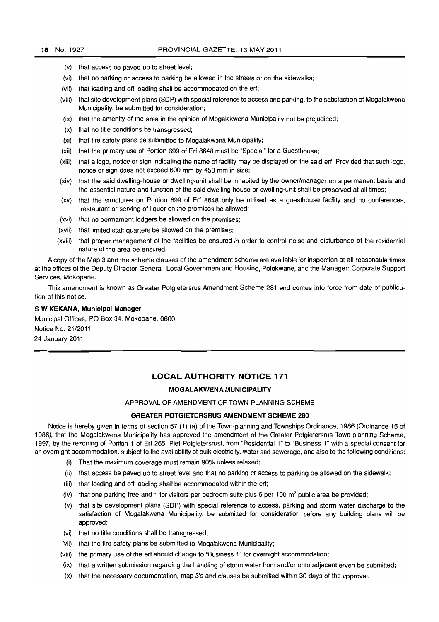- (v) that access be paved up to street level;
- (vi) that no parking or access to parking be allowed in the streets or on the sidewalks;
- (vii) that loading and off loading shall be accommodated on the erf;
- (viii) that site development plans (SOP) with special reference to access and parking, to the satisfaction of Mogalakwena Municipality, be submitted for consideration;
- (ix) that the amenity of the area in the opinion of Mogalakwena Municipality not be prejudiced;
- (x) that no title conditions be transgressed;
- (xi) that fire safety plans be submitted to Mogalakwena Municipality;
- (xii) that the primary use of Portion 699 of Erf 8648 must be "Special" for a Guesthouse;
- (xiii) that a logo, notice or sign indicating the name of facility may be displayed on the said erf: Provided that such logo, notice or sign does not exceed 600 mm by 450 mm in size;
- (xiv) that the said dwelling-house or dwelling-unit shall be inhabited by the owner/manager on a permanent basis and the essential nature and function of the said dwelling-house or dwelling-unit shall be preserved at all times;
- (xv) that the structures on Portion 699 of Erf 8648 only be utilised as a guesthouse facility and no conferences, restaurant or serving of liquor on the premises be allowed;
- (xvi) that no permament lodgers be allowed on the premises;
- (xvii) that limited staff quarters be allowed on the premises;
- (xviii) that proper management of the facilities be ensured in order to control noise and disturbance of the residential nature of the area be ensured.

A copy of the Map 3 and the scheme clauses of the amendment scheme are available for inspection at all reasonable times at the offices of the Deputy Director-General: Local Government and Housing, Polokwane, and the Manager: Corporate Support Services, Mokopane.

This amendment is known as Greater Potgietersrus Amendment Scheme 281 and comes into force from date of publication of this notice.

#### S **W KEKANA, MuniCipal Manager**

Municipal Offices, PO Box 34, Mokopane, 0600 Notice No. 21/2011 24 January 2011

### **LOCAL AUTHORITY NOTICE 171**

#### **MOGALAKWENA MUNICIPALITY**

#### APPROVAL OF AMENDMENT OF TOWN-PLANNING SCHEME

### **GREATER POTGIETERSRUS AMENDMENT SCHEME 280**

Notice is hereby given in terms of section 57 (1) (a) of the Town-planning and Townships Ordinance, 1986 (Ordinance 15 of 1986), that the Mogalakwena Municipality has approved the amendment of the Greater Potgietersrus Town-planning Scheme, 1997, by the rezoning of Portion 1 of Erf 265, Piet Potgietersrust, from "Residential 1" to "Business 1" with a special consent for an overnight accommodation, subject to the availability of bulk electricity, water and sewerage, and also to the following conditions:

- (i) That the maximum coverage must remain 90% unless relaxed;
- (ii) that access be paved up to street level and that no parking or access to parking be allowed on the sidewalk;
- (iii) that loading and off loading shall be accommodated within the erf;
- (iv) that one parking free and 1 for visitors per bedroom suite plus 6 per 100  $m<sup>2</sup>$  public area be provided;
- (v) that site development plans (SOP) with special reference to access, parking and storm water discharge to the satisfaction of Mogalakwena Municipality, be submitted for consideration before any building plans will be approved;
- (vi) that no title conditions shall be transgressed;
- (vii) that the fire safety plans be submitted to Mogalakwena Municipality;
- (viii) the primary use of the ert should change to "Business 1" for overnight accommodation;
- (ix) that a written submission regarding the handling of storm water from and/or onto adjacent erven be submitted;
- (x) that the necessary documentation, map 3's and clauses be submitted within 30 days of the approval.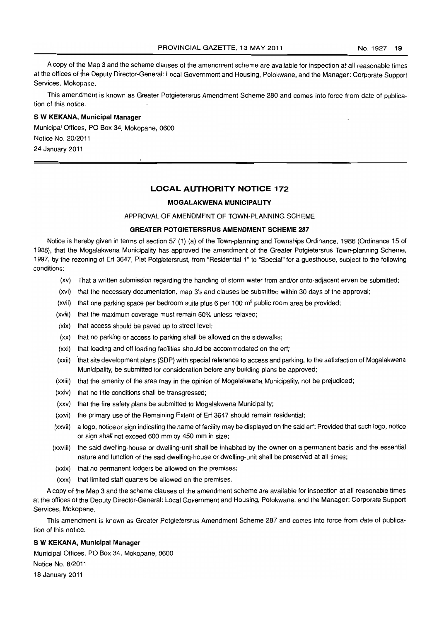A copy of the Map 3 and the scheme clauses of the amendment scheme are available for inspection at all reasonable times at the offices of the Deputy Director-General: Local Government and Housing, Polokwane, and the Manager: Corporate Support Services, Mokopane.

This amendment is known as Greater Potgietersrus Amendment Scheme 280 and comes into force from date of publication of this notice.

### S **W KEKANA, Municipal Manager**

Municipal Offices, PO Box 34, Mokopane, 0600 Notice No. 20/2011 24 January 2011

### **LOCAL AUTHORITY NOTICE 172**

#### **MOGALAKWENA MUNICIPALITY**

APPROVAL OF AMENDMENT OF TOWN-PLANNING SCHEME

### **GREATER POTGIETERSRUS AMENDMENT SCHEME 287**

Notice is hereby given in terms of section 57 (1) (a) of the Town-planning and Townships Ordinance, 1986 (Ordinance 15 of 1986), that the Mogalakwena Municipality has approved the amendment of the Greater Potgietersrus Town-planning Scheme, 1997, by the rezoning of Erf 3647, Piet Potgietersrust, from "Residential 1" to "Special" for a guesthouse, subject to the following conditions:

- (xv) That a written submission regarding the handling of storm water from and/or onto adjacent erven be submitted;
- (xvi) that the necessary documentation, map 3's and clauses be submitted within 30 days of the approval;
- (xvii) that one parking space per bedroom suite plus 6 per 100  $\text{m}^2$  public room area be provided;
- (xviii) that the maximum coverage must remain 50% unless relaxed;
- (xix) that access should be paved up to street level;
- (xx) that no parking or access to parking shall be allowed on the sidewalks;
- (xxi) that loading and off loading facilities should be accommodated on the erf;
- (xxii) that site development plans (SOP) with special reference to access and parking, to the satisfaction of Mogalakwena Municipality, be submitted for consideration before any building plans be approved;
- (xxiii) that the amenity of the area may in the opinion of Mogalakwena Municipality, not be prejudiced;
- (xxiv) that no title conditions shall be transgressed;
- (xxv) that the fire safety plans be submitted to Mogalakwena Municipality;
- (xxvi) the primary use of the Remaining Extent of Erf 3647 should remain residential;
- (xxvii) a logo, notice or sign indicating the name of facility may be displayed on the said erf: Provided that such logo, notice or sign shall not exceed 600 mm by 450 mm in size;
- (xxviii) the said dwelling-house or dwelling-unit shall be inhabited by the owner on a permanent basis and the essential nature and function of the said dwelling-house or dwelling-unit shall be preserved at all times;
- (xxix) that no permanent lodgers be allowed on the premises;
- (xxx) that limited staff quarters be allowed on the premises.

A copy of the Map 3 and the scheme clauses of the amendment scheme are available for inspection at all reasonable times at the offices of the Deputy Director-General: Local Government and Housing, Polokwane, and the Manager: Corporate Support Services, Mokopane.

This amendment is known as Greater Potgietersrus Amendment Scheme 287 and comes into force from date of publication of this notice.

#### S **W KEKANA, Municipal Manager**

Municipal Offices, PO Box 34, Mokopane, 0600 Notice No. 8/2011 18 January 2011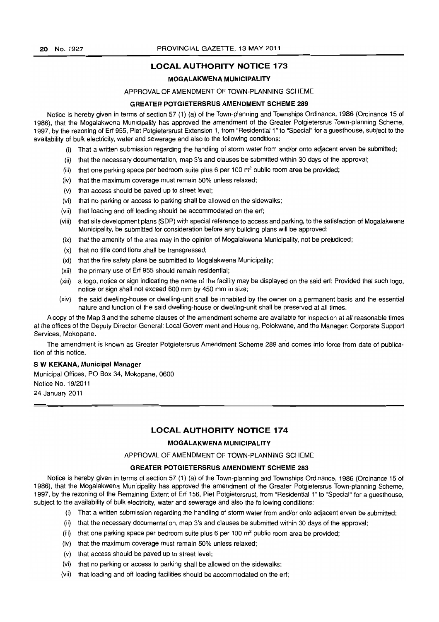### **LOCAL AUTHORITY NOTICE** 173

#### MOGALAKWENA MUNICIPALITY

#### APPROVAL OF AMENDMENT OF TOWN-PLANNING SCHEME

### GREATER POTGIETERSRUS AMENDMENT SCHEME 289

Notice is hereby given in terms of section 57 (1) (a) of the Town-planning and Townships Ordinance, 1986 (Ordinance 15 of 1986), that the Mogalakwena Municipality has approved the amendment of the Greater Potgietersrus Town-planning Scheme, 1997, by the rezoning of Erf 955, Piet Potgietersrust Extension 1, from "Residential 1" to "Special" for a guesthouse, subject to the availability of bulk electricity, water and sewerage and also to the following conditions:

- (i) That a written submission regarding the handling of storm water from and/or onto adjacent erven be submitted;
- (ii) that the necessary documentation, map 3's and clauses be submitted within 30 days of the approval;
- (iii) that one parking space per bedroom suite plus 6 per 100  $m^2$  public room area be provided;
- (iv) that the maximum coverage must remain 50% unless relaxed;
- (v) that access should be paved up to street level;
- (vi) that no parking or access to parking shall be allowed on the sidewalks;
- (vii) that loading and off loading should be accommodated on the erf;
- (viii) that site development plans (SOP) with special reference to access and parking, to the satisfaction of Mogalakwena Municipality, be submitted for consideration before any building plans will be approved;
- (ix) that the amenity of the area may in the opinion of Mogalakwena Municipality, not be prejudiced;
- (x) that no title conditions shall be transgressed;
- (xi) that the fire safety plans be submitted to Mogalakwena Municipality;
- (xii) the primary use of Erf 955 should remain residential;
- (xiii) a logo, notice or sign indicating the name of the facility may be displayed on the said erf: Provided that such logo, notice or sign shall not exceed 600 mm by 450 mm in size;
- (xiv) the said dwelling-house or dwelling-unit shall be inhabited by the owner on a permanent basis and the essential nature and function of the said dwelling-house or dwelling-unit shall be preserved at all times.

A copy of the Map 3 and the scheme clauses of the amendment scheme are available for inspection at all reasonable times at the offices of the Deputy Director-General: Local Government and Housing, Polokwane, and the Manager: Corporate Support Services, Mokopane.

The amendment is known as Greater Potgietersrus Amendment Scheme 289 and comes into force from date of publication of this notice.

### S W KEKANA, Municipal Manager

Municipal Offices, PO Box 34, Mokopane, 0600 Notice No. 19/2011 24 January 2011

### **LOCAL AUTHORITY NOTICE** 174

### MOGALAKWENA MUNICIPALITY

### APPROVAL OF AMENDMENT OF TOWN-PLANNING SCHEME

### GREATER POTGIETERSRUS AMENDMENT SCHEME 283

Notice is hereby given in terms of section 57 (1) (a) of the Town-planning and Townships Ordinance, 1986 (Ordinance 15 of 1986), that the Mogalakwena Municipality has approved the amendment of the Greater Potgietersrus Town-planning Scheme, 1997, by the rezoning of the Remaining Extent of Erf 156, Piet Potgietersrust, from "Residential 1" to "Special" for a guesthouse, subject to the availability of bulk electricity, water and sewerage and also the following conditions:

- (i) That a written submission regarding the handling of storm water from and/or onto adjacent erven be submitted;
- (ii) that the necessary documentation, map 3's and clauses be submitted within 30 days of the approval;
- (iii) that one parking space per bedroom suite plus 6 per 100  $m<sup>2</sup>$  public room area be provided;
- (iv) that the maximum coverage must remain 50% unless relaxed;
- (v) that access should be paved up to street level;
- (vi) that no parking or access to parking shall be allowed on the sidewalks;
- (vii) that loading and off loading facilities should be accommodated on the ert;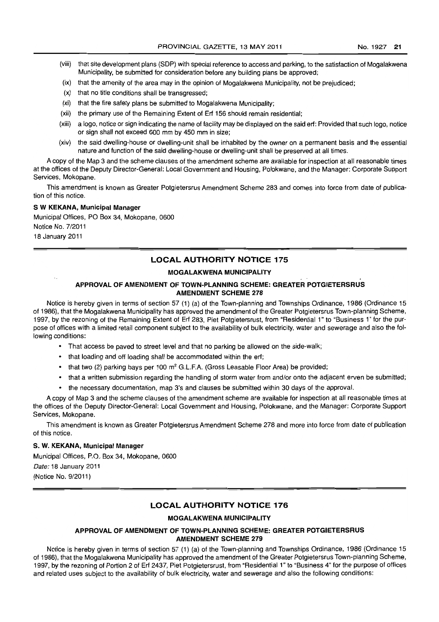- 
- (viii) that site development plans (SOP) with special reference to access and parking, to the satisfaction of Mogalakwena Municipality, be submitted for consideration before any building plans be approved;
- (ix) that the amenity of the area may in the opinion of Mogalakwena Municipality, not be prejudiced;
- (x) that no title conditions shall be transgressed;
- (xi) that the fire safety plans be submitted to Mogalakwena Municipality;
- (xii) the primary use of the Remaining Extent of Erf 156 should remain residential;
- (xiii) a logo, notice or sign indicating the name of facility may be displayed on the said erf: Provided that such logo, notice or sign shall not exceed 600 mm by 450 mm in size;
- (xiv) the said dwelling-house or dwelling-unit shall be inhabited by the owner on a permanent basis and the essential nature and function of the said dwelling-house or dwelling-unit shall be preserved at all times.

A copy of the Map 3 and the scheme clauses of the amendment scheme are available for inspection at all reasonable times at the offices of the Deputy Director-General: Local Government and Housing, Polokwane, and the Manager: Corporate Support Services, Mokopane.

This amendment is known as Greater Potgietersrus Amendment Scheme 283 and comes into force from date of publication of this notice.

#### S **W KEKANA, Municipal Manager**

Municipal Offices, PO Box 34, Mokopane, 0600 Notice No. 7/2011 18 January 2011

### **LOCAL AUTHORITY NOTICE 175**

### **MOGALAKWENA MUNICIPALITY**

### **APPROVAL OF AMENDMENT OF TOWN-PLANNING SCHEME: GREATER POTGIETERSRUS AMENDMENT SCHEME 278**

Notice is hereby given in terms of section 57 (1) (a) of the Town-planning and Townships Ordinance, 1986 (Ordinance 15 of 1986), that the Mogalakwena Municipality has approved the amendment of the Greater Potgietersrus Town-planning Scheme, 1997, by the rezoning of the Remaining Extent of Erf 283, Piet Potgietersrust, from "Residential 1" to "Business 1" for the purpose of offices with a limited retail component subject to the availability of bulk electricity, water and sewerage and also the following conditions:

- That access be paved to street level and that no parking be allowed on the side-walk;
- that loading and off loading shall be accommodated within the erf;
- that two (2) parking bays per 100  $m^2$  G.L.F.A. (Gross Leasable Floor Area) be provided;
- that a written submission regarding the handling of storm water from and/or onto the adjacent erven be submitted;
- the necessary documentation, map 3's and clauses be submitted within 30 days of the approval.

A copy of Map 3 and the scheme clauses of the amendment scheme are available for inspection at all reasonable times at the offices of the Deputy Director-General: Local Government and Housing, Polokwane, and the Manager: Corporate Support Services, Mokopane.

This amendment is known as Greater Potgietersrus Amendment Scheme 278 and more into force from date of publication of this notice.

#### **S. W. KEKANA, Municipal Manager**

Municipal Offices, P.O. Box 34, Mokopane, 0600 Date: 18 January 2011 (Notice No. 9/2011)

### **LOCAL AUTHORITY NOTICE 176**

#### **MOGALAKWENA MUNICIPALITY**

### **APPROVAL OF AMENDMENT OF TOWN-PLANNING SCHEME: GREATER POTGIETERSRUS AMENDMENT SCHEME 279**

Notice is hereby given in terms of section 57 (1) (a) of the Town-planning and Townships Ordinance, 1986 (Ordinance 15 of 1986), that the Mogalakwena Municipality has approved the amendment of the Greater Potgietersrus Town-planning Scheme, 1997, by the rezoning of Portion 2 of Erf 2437, Piet Potgietersrust, from "Residential 1" to "Business 4" for the purpose of offices and related uses subject to the availability of bulk electricity, water and sewerage and also the following conditions: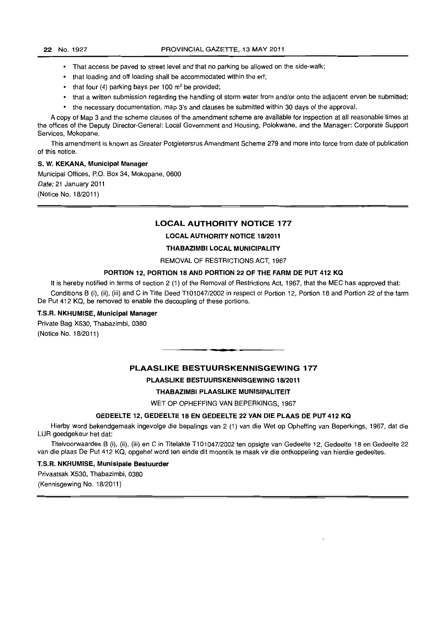- That access be paved to street level and that no parking be allowed on the side-walk;
- that loading and off loading shall be accommodated within the ert;
- that four  $(4)$  parking bays per 100 m<sup>2</sup> be provided;
- that a written submission regarding the handling of storm water from and/or onto the adjacent erven be submitted;
- the necessary documentation, map 3's and clauses be submitted within 30 days of the approval.

A copy of Map 3 and the scheme clauses of the amendment scheme are available for inspection at all reasonable times at the offices of the Deputy Director-General: Local Government and Housing, Polokwane, and the Manager: Corporate Support Services. Mokopane.

This amendment is known as Greater Potgietersrus Amendment Scheme 279 and more into force from date of publication of this notice.

#### S. W. KEKANA, Municipal Manager

Municipal Offices, P.O. Box 34, Mokopane, 0600 Date: 21 January 2011 (Notice No. 18/2011)

### LOCAL AUTHORITY NOTICE 177

### LOCAL AUTHORITY NOTICE 18/2011

#### THABAZIMBI LOCAL MUNICIPALITY

#### REMOVAL OF RESTRICTIONS ACT, 1967

### PORTION 12, PORTION 18 AND PORTION 22 OF THE FARM DE PUT 412 KQ

It is hereby notified in terms of section 2 (1) of the Removal of Restrictions Act, 1967, that the MEC has approved that: Conditions B (i), (ii), (iii) and C in Title Deed T101047/2002 in respect of Portion 12, Portion 18 and Portion 22 of the farm De Put 412 KQ, be removed to enable the decoupling of these portions.

### T.S.R. NKHUMISE, Municipal Manager

Private Bag X530, Thabazimbi, 0380 (Notice No. 18/2011)

### PLAASLIKE BESTUURSKENNISGEWING 177

**• •** 

#### PLAASLIKE BESTUURSKENNISGEWING 18/2011

#### THABAZIMBI PLAASLIKE MUNISIPALITEIT

WET OP OPHEFFING VAN BEPERKINGS. 1967

### GEDEELTE 12, GEDEELTE 18 EN GEDEELTE 22 VAN DIE PLAAS DE PUT 412 KQ

Hierby word bekendgemaak ingevolge die bepalings van 2 (1) van die Wet op Opheffing van Beperkings, 1967, dat die LUR goedgekeur het dat:

Titelvoorwaardes B (i), (ii), (iii) en C in Titelakte T101047/2002 ten opsigte van Gedeelte 12, Gedeelte 18 en Gedeelte 22 van die plaas De Put 412 KQ, opgehef word ten einde dit moontlik te maak vir die ontkoppeling van hierdie gedeeltes.

T.S.R. NKHUMISE, Munisipale Bestuurder

Privaatsak X530. Thabazimbi. 0380

(Kennisgewing No. 18/2011)